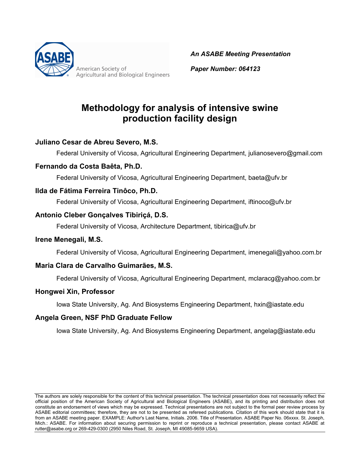

American Society of **Agricultural and Biological Engineers**  *An ASABE Meeting Presentation*

*Paper Number: 064123*

# **Methodology for analysis of intensive swine production facility design**

### **Juliano Cesar de Abreu Severo, M.S.**

Federal University of Vicosa, Agricultural Engineering Department, julianosevero@gmail.com

#### **Fernando da Costa Baêta, Ph.D.**

Federal University of Vicosa, Agricultural Engineering Department, baeta@ufv.br

#### **Ilda de Fátima Ferreira Tinôco, Ph.D.**

Federal University of Vicosa, Agricultural Engineering Department, iftinoco@ufv.br

#### **Antonio Cleber Gonçalves Tibiriçá, D.S.**

Federal University of Vicosa, Architecture Department, tibirica@ufv.br

#### **Irene Menegali, M.S.**

Federal University of Vicosa, Agricultural Engineering Department, imenegali@yahoo.com.br

#### **Maria Clara de Carvalho Guimarães, M.S.**

Federal University of Vicosa, Agricultural Engineering Department, mclaracg@yahoo.com.br

#### **Hongwei Xin, Professor**

Iowa State University, Ag. And Biosystems Engineering Department, hxin@iastate.edu

#### **Angela Green, NSF PhD Graduate Fellow**

Iowa State University, Ag. And Biosystems Engineering Department, angelag@iastate.edu

The authors are solely responsible for the content of this technical presentation. The technical presentation does not necessarily reflect the official position of the American Society of Agricultural and Biological Engineers (ASABE), and its printing and distribution does not constitute an endorsement of views which may be expressed. Technical presentations are not subject to the formal peer review process by ASABE editorial committees; therefore, they are not to be presented as refereed publications. Citation of this work should state that it is from an ASABE meeting paper. EXAMPLE: Author's Last Name, Initials. 2006. Title of Presentation. ASABE Paper No. 06xxxx. St. Joseph, Mich.: ASABE. For information about securing permission to reprint or reproduce a technical presentation, please contact ASABE at rutter@asabe.org or 269-429-0300 (2950 Niles Road, St. Joseph, MI 49085-9659 USA).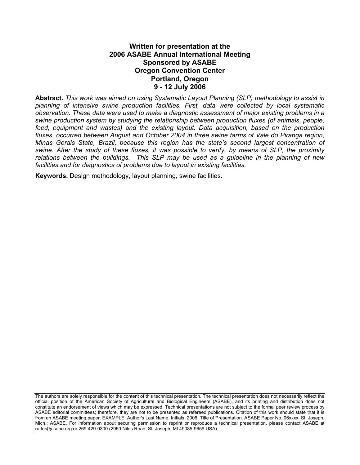#### **Written for presentation at the 2006 ASABE Annual International Meeting Sponsored by ASABE Oregon Convention Center Portland, Oregon 9 - 12 July 2006**

**Abstract***. This work was aimed on using Systematic Layout Planning (SLP) methodology to assist in planning of intensive swine production facilities. First, data were collected by local systematic observation. These data were used to make a diagnostic assessment of major existing problems in a swine production system by studying the relationship between production fluxes (of animals, people, feed, equipment and wastes) and the existing layout. Data acquisition, based on the production fluxes, occurred between August and October 2004 in three swine farms of Vale do Piranga region, Minas Gerais State, Brazil, because this region has the state's second largest concentration of swine. After the study of these fluxes, it was possible to verify, by means of SLP, the proximity relations between the buildings. This SLP may be used as a guideline in the planning of new facilities and for diagnostics of problems due to layout in existing facilities.* 

**Keywords.** Design methodology, layout planning, swine facilities.

The authors are solely responsible for the content of this technical presentation. The technical presentation does not necessarily reflect the official position of the American Society of Agricultural and Biological Engineers (ASABE), and its printing and distribution does not constitute an endorsement of views which may be expressed. Technical presentations are not subject to the formal peer review process by ASABE editorial committees; therefore, they are not to be presented as refereed publications. Citation of this work should state that it is from an ASABE meeting paper. EXAMPLE: Author's Last Name, Initials. 2006. Title of Presentation. ASABE Paper No. 06xxxx. St. Joseph, Mich.: ASABE. For information about securing permission to reprint or reproduce a technical presentation, please contact ASABE at rutter@asabe.org or 269-429-0300 (2950 Niles Road, St. Joseph, MI 49085-9659 USA).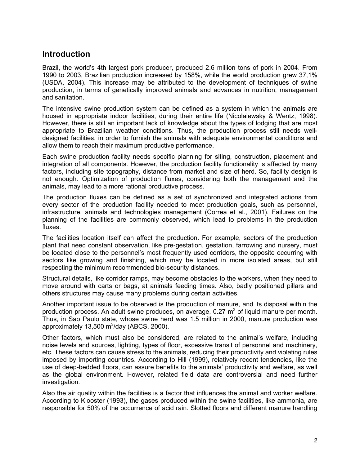### **Introduction**

Brazil, the world's 4th largest pork producer, produced 2.6 million tons of pork in 2004. From 1990 to 2003, Brazilian production increased by 158%, while the world production grew 37,1% (USDA, 2004). This increase may be attributed to the development of techniques of swine production, in terms of genetically improved animals and advances in nutrition, management and sanitation.

The intensive swine production system can be defined as a system in which the animals are housed in appropriate indoor facilities, during their entire life (Nicolaiewsky & Wentz, 1998). However, there is still an important lack of knowledge about the types of lodging that are most appropriate to Brazilian weather conditions. Thus, the production process still needs welldesigned facilities, in order to furnish the animals with adequate environmental conditions and allow them to reach their maximum productive performance.

Each swine production facility needs specific planning for siting, construction, placement and integration of all components. However, the production facility functionality is affected by many factors, including site topography, distance from market and size of herd. So, facility design is not enough. Optimization of production fluxes, considering both the management and the animals, may lead to a more rational productive process.

The production fluxes can be defined as a set of synchronized and integrated actions from every sector of the production facility needed to meet production goals, such as personnel, infrastructure, animals and technologies management (Correa et al., 2001). Failures on the planning of the facilities are commonly observed, which lead to problems in the production fluxes.

The facilities location itself can affect the production. For example, sectors of the production plant that need constant observation, like pre-gestation, gestation, farrowing and nursery, must be located close to the personnel's most frequently used corridors, the opposite occurring with sectors like growing and finishing, which may be located in more isolated areas, but still respecting the minimum recommended bio-security distances.

Structural details, like corridor ramps, may become obstacles to the workers, when they need to move around with carts or bags, at animals feeding times. Also, badly positioned pillars and others structures may cause many problems during certain activities.

Another important issue to be observed is the production of manure, and its disposal within the production process. An adult swine produces, on average, 0.27  $m^3$  of liquid manure per month. Thus, in Sao Paulo state, whose swine herd was 1.5 million in 2000, manure production was approximately 13,500 m $3/$ day (ABCS, 2000).

Other factors, which must also be considered, are related to the animal's welfare, including noise levels and sources, lighting, types of floor, excessive transit of personnel and machinery, etc. These factors can cause stress to the animals, reducing their productivity and violating rules imposed by importing countries. According to Hill (1999), relatively recent tendencies, like the use of deep-bedded floors, can assure benefits to the animals' productivity and welfare, as well as the global environment. However, related field data are controversial and need further investigation.

Also the air quality within the facilities is a factor that influences the animal and worker welfare. According to Klooster (1993), the gases produced within the swine facilities, like ammonia, are responsible for 50% of the occurrence of acid rain. Slotted floors and different manure handling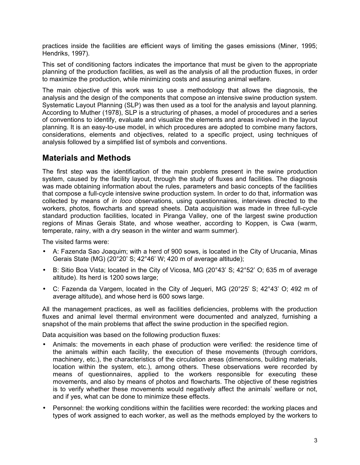practices inside the facilities are efficient ways of limiting the gases emissions (Miner, 1995; Hendriks, 1997).

This set of conditioning factors indicates the importance that must be given to the appropriate planning of the production facilities, as well as the analysis of all the production fluxes, in order to maximize the production, while minimizing costs and assuring animal welfare.

The main objective of this work was to use a methodology that allows the diagnosis, the analysis and the design of the components that compose an intensive swine production system. Systematic Layout Planning (SLP) was then used as a tool for the analysis and layout planning. According to Muther (1978), SLP is a structuring of phases, a model of procedures and a series of conventions to identify, evaluate and visualize the elements and areas involved in the layout planning. It is an easy-to-use model, in which procedures are adopted to combine many factors, considerations, elements and objectives, related to a specific project, using techniques of analysis followed by a simplified list of symbols and conventions.

### **Materials and Methods**

The first step was the identification of the main problems present in the swine production system, caused by the facility layout, through the study of fluxes and facilities. The diagnosis was made obtaining information about the rules, parameters and basic concepts of the facilities that compose a full-cycle intensive swine production system. In order to do that, information was collected by means of *in loco* observations, using questionnaires, interviews directed to the workers, photos, flowcharts and spread sheets. Data acquisition was made in three full-cycle standard production facilities, located in Piranga Valley, one of the largest swine production regions of Minas Gerais State, and whose weather, according to Koppen, is Cwa (warm, temperate, rainy, with a dry season in the winter and warm summer).

The visited farms were:

- A: Fazenda Sao Joaquim; with a herd of 900 sows, is located in the City of Urucania, Minas Gerais State (MG) (20°20' S; 42°46' W; 420 m of average altitude);
- B: Sitio Boa Vista; located in the City of Vicosa, MG (20°43' S; 42°52' O; 635 m of average altitude). Its herd is 1200 sows large;
- C: Fazenda da Vargem, located in the City of Jequeri, MG (20°25' S; 42°43' O; 492 m of average altitude), and whose herd is 600 sows large.

All the management practices, as well as facilities deficiencies, problems with the production fluxes and animal level thermal environment were documented and analyzed, furnishing a snapshot of the main problems that affect the swine production in the specified region.

Data acquisition was based on the following production fluxes:

- Animals: the movements in each phase of production were verified: the residence time of the animals within each facility, the execution of these movements (through corridors, machinery, etc.), the characteristics of the circulation areas (dimensions, building materials, location within the system, etc.), among others. These observations were recorded by means of questionnaires, applied to the workers responsible for executing these movements, and also by means of photos and flowcharts. The objective of these registries is to verify whether these movements would negatively affect the animals' welfare or not, and if yes, what can be done to minimize these effects.
- Personnel: the working conditions within the facilities were recorded: the working places and types of work assigned to each worker, as well as the methods employed by the workers to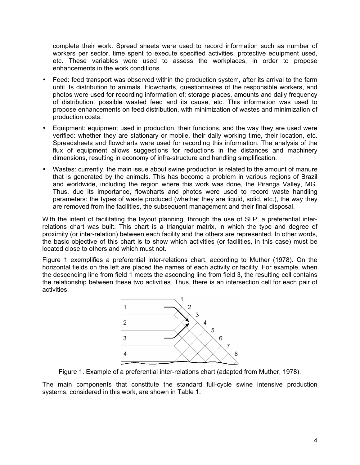complete their work. Spread sheets were used to record information such as number of workers per sector, time spent to execute specified activities, protective equipment used, etc. These variables were used to assess the workplaces, in order to propose enhancements in the work conditions.

- Feed: feed transport was observed within the production system, after its arrival to the farm until its distribution to animals. Flowcharts, questionnaires of the responsible workers, and photos were used for recording information of: storage places, amounts and daily frequency of distribution, possible wasted feed and its cause, etc. This information was used to propose enhancements on feed distribution, with minimization of wastes and minimization of production costs.
- Equipment: equipment used in production, their functions, and the way they are used were verified: whether they are stationary or mobile, their daily working time, their location, etc. Spreadsheets and flowcharts were used for recording this information. The analysis of the flux of equipment allows suggestions for reductions in the distances and machinery dimensions, resulting in economy of infra-structure and handling simplification.
- Wastes: currently, the main issue about swine production is related to the amount of manure that is generated by the animals. This has become a problem in various regions of Brazil and worldwide, including the region where this work was done, the Piranga Valley, MG. Thus, due its importance, flowcharts and photos were used to record waste handling parameters: the types of waste produced (whether they are liquid, solid, etc.), the way they are removed from the facilities, the subsequent management and their final disposal.

With the intent of facilitating the layout planning, through the use of SLP, a preferential interrelations chart was built. This chart is a triangular matrix, in which the type and degree of proximity (or inter-relation) between each facility and the others are represented. In other words, the basic objective of this chart is to show which activities (or facilities, in this case) must be located close to others and which must not.

Figure 1 exemplifies a preferential inter-relations chart, according to Muther (1978). On the horizontal fields on the left are placed the names of each activity or facility. For example, when the descending line from field 1 meets the ascending line from field 3, the resulting cell contains the relationship between these two activities. Thus, there is an intersection cell for each pair of activities.



Figure 1. Example of a preferential inter-relations chart (adapted from Muther, 1978).

The main components that constitute the standard full-cycle swine intensive production systems, considered in this work, are shown in Table 1.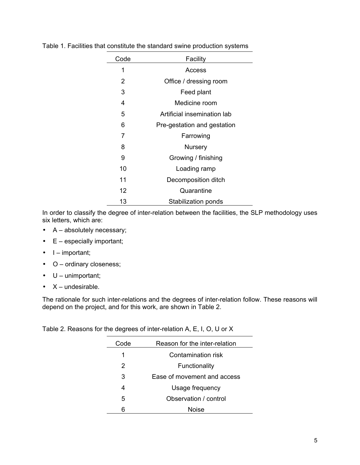| Code | Facility                    |
|------|-----------------------------|
| 1    | Access                      |
| 2    | Office / dressing room      |
| 3    | Feed plant                  |
| 4    | Medicine room               |
| 5    | Artificial insemination lab |
| 6    | Pre-gestation and gestation |
| 7    | Farrowing                   |
| 8    | Nursery                     |
| 9    | Growing / finishing         |
| 10   | Loading ramp                |
| 11   | Decomposition ditch         |
| 12   | Quarantine                  |
| 13   | Stabilization ponds         |

Table 1. Facilities that constitute the standard swine production systems

÷

In order to classify the degree of inter-relation between the facilities, the SLP methodology uses six letters, which are:

- A absolutely necessary;
- $\bullet$   $E -$  especially important;
- $\bullet$  I important;
- O ordinary closeness;
- $\bullet$   $U$  unimportant;
- $\bullet$   $X$  undesirable.

The rationale for such inter-relations and the degrees of inter-relation follow. These reasons will depend on the project, and for this work, are shown in Table 2.

Table 2. Reasons for the degrees of inter-relation A, E, I, O, U or X

| Code | Reason for the inter-relation |
|------|-------------------------------|
| 1    | Contamination risk            |
| 2    | Functionality                 |
| 3    | Ease of movement and access   |
| 4    | Usage frequency               |
| 5    | Observation / control         |
| հ    | <b>Noise</b>                  |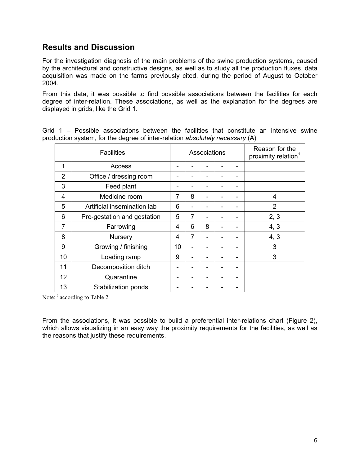### **Results and Discussion**

For the investigation diagnosis of the main problems of the swine production systems, caused by the architectural and constructive designs, as well as to study all the production fluxes, data acquisition was made on the farms previously cited, during the period of August to October 2004.

From this data, it was possible to find possible associations between the facilities for each degree of inter-relation. These associations, as well as the explanation for the degrees are displayed in grids, like the Grid 1.

Grid 1 – Possible associations between the facilities that constitute an intensive swine production system, for the degree of inter-relation *absolutely necessary* (A)

| <b>Facilities</b> |                             | Associations   |   |   |   |                          | Reason for the<br>proximity relation <sup>1</sup> |
|-------------------|-----------------------------|----------------|---|---|---|--------------------------|---------------------------------------------------|
| 1                 | Access                      |                |   |   |   |                          |                                                   |
| $\overline{2}$    | Office / dressing room      |                |   |   | - | ۰                        |                                                   |
| 3                 | Feed plant                  |                |   |   |   |                          |                                                   |
| 4                 | Medicine room               | $\overline{7}$ | 8 | ۰ |   |                          | 4                                                 |
| 5                 | Artificial insemination lab | 6              |   |   |   |                          | $\overline{2}$                                    |
| 6                 | Pre-gestation and gestation | 5              | 7 |   |   |                          | 2, 3                                              |
| $\overline{7}$    | Farrowing                   | 4              | 6 | 8 |   |                          | 4, 3                                              |
| 8                 | Nursery                     | 4              | 7 |   |   |                          | 4, 3                                              |
| 9                 | Growing / finishing         | 10             |   |   |   |                          | 3                                                 |
| 10                | Loading ramp                | 9              |   |   |   |                          | 3                                                 |
| 11                | Decomposition ditch         |                |   |   |   | $\overline{\phantom{0}}$ |                                                   |
| 12                | Quarantine                  |                |   |   |   | -                        |                                                   |
| 13                | Stabilization ponds         |                |   |   |   |                          |                                                   |

Note: <sup>1</sup> according to Table 2

From the associations, it was possible to build a preferential inter-relations chart (Figure 2), which allows visualizing in an easy way the proximity requirements for the facilities, as well as the reasons that justify these requirements.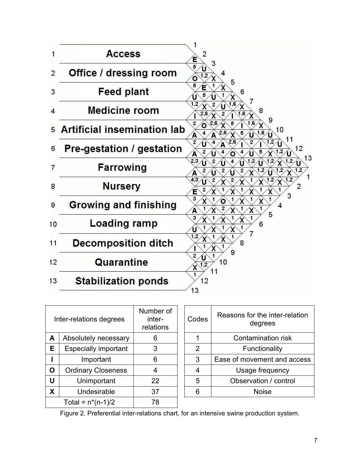

| Inter-relations degrees |                           | Number of<br>inter-<br>relations | Codes | Reasons for the inter-relation<br>degrees |  |
|-------------------------|---------------------------|----------------------------------|-------|-------------------------------------------|--|
| A                       | Absolutely necessary      | 6                                |       | Contamination risk                        |  |
| Е                       | Especially important      | 3                                | 2     | Functionality                             |  |
|                         | Important                 | 6                                | 3     | Ease of movement and access               |  |
| O                       | <b>Ordinary Closeness</b> | 4                                | 4     | Usage frequency                           |  |
| U                       | Unimportant               | 22                               | 5     | Observation / control                     |  |
| X                       | Undesirable               | 37                               | 6     | <b>Noise</b>                              |  |
| Total = $n*(n-1)/2$     |                           | 78                               |       |                                           |  |

| Codes | Reasons for the inter-relation<br>degrees |  |
|-------|-------------------------------------------|--|
|       | Contamination risk                        |  |
| 2     | Functionality                             |  |
| 3     | Ease of movement and access               |  |
|       | Usage frequency                           |  |
| 5     | Observation / control                     |  |
|       | Noise                                     |  |
|       |                                           |  |

Figure 2. Preferential inter-relations chart, for an intensive swine production system.